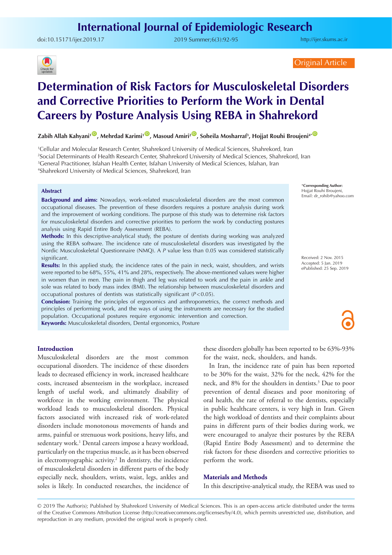doi:10.15171/ijer.2019.17 2019 Summer;6(3):92-95

<http://ijer.skums.ac.ir>



Original Article

# **Determination of Risk Factors for Musculoskeletal Disorders and Corrective Priorities to Perform the Work in Dental Careers by Posture Analysis Using REBA in Shahrekord**

 $\mathsf{Zabih}$  Allah Kahyani<sup>1 (D)</sup>, Mehrdad Karimi<sup>1 (D)</sup>, Masoud Amiri<sup>2 (D)</sup>, Soheila Mosharraf<sup>3</sup>, Hojjat Rouhi Broujeni<sup>44 (D</sup>

 Cellular and Molecular Research Center, Shahrekord University of Medical Sciences, Shahrekord, Iran Social Determinants of Health Research Center, Shahrekord University of Medical Sciences, Shahrekord, Iran General Practitioner, Isfahan Health Center, Isfahan University of Medical Sciences, Isfahan, Iran Shahrekord University of Medical Sciences, Shahrekord, Iran

### **Abstract**

**Background and aims:** Nowadays, work-related musculoskeletal disorders are the most common occupational diseases. The prevention of these disorders requires a posture analysis during work and the improvement of working conditions. The purpose of this study was to determine risk factors for musculoskeletal disorders and corrective priorities to perform the work by conducting postures analysis using Rapid Entire Body Assessment (REBA).

**Methods:** In this descriptive-analytical study, the posture of dentists during working was analyzed using the REBA software. The incidence rate of musculoskeletal disorders was investigated by the Nordic Musculoskeletal Questionnaire (NMQ). A *P* value less than 0.05 was considered statistically significant.

**Results:** In this applied study, the incidence rates of the pain in neck, waist, shoulders, and wrists were reported to be 68%, 55%, 41% and 28%, respectively. The above-mentioned values were higher in women than in men. The pain in thigh and leg was related to work and the pain in ankle and sole was related to body mass index (BMI). The relationship between musculoskeletal disorders and occupational postures of dentists was statistically significant (*P*<0.05).

**Conclusion:** Training the principles of ergonomics and anthropometrics, the correct methods and principles of performing work, and the ways of using the instruments are necessary for the studied population. Occupational postures require ergonomic intervention and correction. **Keywords:** Musculoskeletal disorders, Dental ergonomics, Posture

**Introduction**

Musculoskeletal disorders are the most common occupational disorders. The incidence of these disorders leads to decreased efficiency in work, increased healthcare costs, increased absenteeism in the workplace, increased length of useful work, and ultimately disability of workforce in the working environment. The physical workload leads to musculoskeletal disorders. Physical factors associated with increased risk of work-related disorders include monotonous movements of hands and arms, painful or strenuous work positions, heavy lifts, and sedentary work.<sup>1</sup> Dental careers impose a heavy workload, particularly on the trapezius muscle, as it has been observed in electromyographic activity.<sup>2</sup> In dentistry, the incidence of musculoskeletal disorders in different parts of the body especially neck, shoulders, wrists, waist, legs, ankles and soles is likely. In conducted researches, the incidence of these disorders globally has been reported to be 63%-93% for the waist, neck, shoulders, and hands.

In Iran, the incidence rate of pain has been reported to be 30% for the waist, 32% for the neck, 42% for the neck, and 8% for the shoulders in dentists.3 Due to poor prevention of dental diseases and poor monitoring of oral health, the rate of referral to the dentists, especially in public healthcare centers, is very high in Iran. Given the high workload of dentists and their complaints about pains in different parts of their bodies during work, we were encouraged to analyze their postures by the REBA (Rapid Entire Body Assessment) and to determine the risk factors for these disorders and corrective priorities to perform the work.

#### **Materials and Methods**

In this descriptive-analytical study, the REBA was used to

© 2019 The Author(s); Published by Shahrekord University of Medical Sciences. This is an open-access article distributed under the terms of the Creative Commons Attribution License (http://creativecommons.org/licenses/by/4.0), which permits unrestricted use, distribution, and reproduction in any medium, provided the original work is properly cited.

\***Corresponding Author:** Hojjat Rouhi Broujeni, Email: dr\_rohib@yahoo.com

Received: 2 Nov. 2015 Accepted: 5 Jan. 2019 ePublished: 25 Sep. 2019

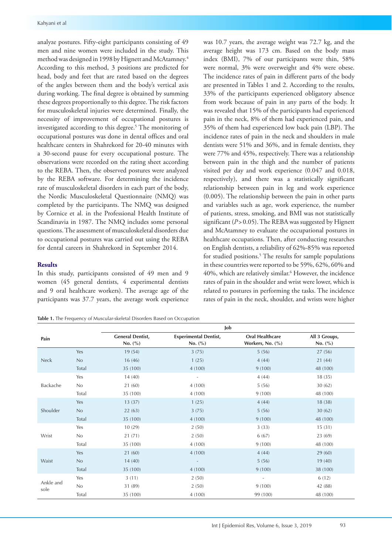analyze postures. Fifty-eight participants consisting of 49 men and nine women were included in the study. This method was designed in 1998 by Hignett and McAtamney.4 According to this method, 3 positions are predicted for head, body and feet that are rated based on the degrees of the angles between them and the body's vertical axis during working. The final degree is obtained by summing these degrees proportionally to this degree. The risk factors for musculoskeletal injuries were determined. Finally, the necessity of improvement of occupational postures is investigated according to this degree.<sup>5</sup> The monitoring of occupational postures was done in dental offices and oral healthcare centers in Shahrekord for 20-40 minutes with a 30-second pause for every occupational posture. The observations were recorded on the rating sheet according to the REBA. Then, the observed postures were analyzed by the REBA software. For determining the incidence rate of musculoskeletal disorders in each part of the body, the Nordic Musculoskeletal Questionnaire (NMQ) was completed by the participants. The NMQ was designed by Cornice et al. in the Professional Health Institute of Scandinavia in 1987. The NMQ includes some personal questions. The assessment of musculoskeletal disorders due to occupational postures was carried out using the REBA for dental careers in Shahrekord in September 2014.

## **Results**

In this study, participants consisted of 49 men and 9 women (45 general dentists, 4 experimental dentists and 9 oral healthcare workers). The average age of the participants was 37.7 years, the average work experience

**Table 1.** The Frequency of Muscular-skeletal Disorders Based on Occupation

was 10.7 years, the average weight was 72.7 kg, and the average height was 173 cm. Based on the body mass index (BMI), 7% of our participants were thin, 58% were normal, 3% were overweight and 4% were obese. The incidence rates of pain in different parts of the body are presented in Tables 1 and 2. According to the results, 33% of the participants experienced obligatory absence from work because of pain in any parts of the body. It was revealed that 15% of the participants had experienced pain in the neck, 8% of them had experienced pain, and 35% of them had experienced low back pain (LBP). The incidence rates of pain in the neck and shoulders in male dentists were 51% and 36%, and in female dentists, they were 77% and 45%, respectively. There was a relationship between pain in the thigh and the number of patients visited per day and work experience (0.047 and 0.018, respectively), and there was a statistically significant relationship between pain in leg and work experience (0.005). The relationship between the pain in other parts and variables such as age, work experience, the number of patients, stress, smoking, and BMI was not statistically significant ( $P > 0.05$ ). The REBA was suggested by Hignett and McAtamney to evaluate the occupational postures in healthcare occupations. Then, after conducting researches on English dentists, a reliability of 62%-85% was reported for studied positions.<sup>5</sup> The results for sample populations in these countries were reported to be 59%, 62%, 60% and 40%, which are relatively similar.6 However, the incidence rates of pain in the shoulder and wrist were lower, which is related to postures in performing the tasks. The incidence rates of pain in the neck, shoulder, and wrists were higher

|                   |       | Job                                    |                                             |                                            |                              |  |  |  |  |
|-------------------|-------|----------------------------------------|---------------------------------------------|--------------------------------------------|------------------------------|--|--|--|--|
| Pain              |       | <b>General Dentist,</b><br>No. $(\% )$ | <b>Experimental Dentist,</b><br>No. $(\% )$ | <b>Oral Healthcare</b><br>Workers, No. (%) | All 3 Groups,<br>No. $(\% )$ |  |  |  |  |
|                   | Yes   | 19(54)                                 | 3(75)                                       | 5(56)                                      | 27(56)                       |  |  |  |  |
| <b>Neck</b>       | No    | 16(46)                                 | 1(25)                                       | 4(44)                                      | 21(44)                       |  |  |  |  |
|                   | Total | 35 (100)                               | 4(100)                                      | 9(100)                                     | 48 (100)                     |  |  |  |  |
|                   | Yes   | 14(40)                                 | $\overline{\phantom{a}}$                    | 4(44)                                      | 18(35)                       |  |  |  |  |
| Backache          | No    | 21(60)                                 | 4(100)                                      | 5(56)                                      | 30(62)                       |  |  |  |  |
|                   | Total | 35 (100)                               | 4(100)                                      | 9(100)                                     | 48 (100)                     |  |  |  |  |
|                   | Yes   | 13(37)                                 | 1(25)                                       | 4(44)                                      | 18(38)                       |  |  |  |  |
| Shoulder          | No    | 22(63)                                 | 3(75)                                       | 5(56)                                      | 30(62)                       |  |  |  |  |
|                   | Total | 35 (100)                               | 4(100)                                      | 9(100)                                     | 48 (100)                     |  |  |  |  |
|                   | Yes   | 10(29)                                 | 2(50)                                       | 3(33)                                      | 15(31)                       |  |  |  |  |
| Wrist             | No    | 21(71)                                 | 2(50)                                       | 6(67)                                      | 23 (69)                      |  |  |  |  |
|                   | Total | 35 (100)                               | 4(100)                                      | 9(100)                                     | 48 (100)                     |  |  |  |  |
|                   | Yes   | 21(60)                                 | 4(100)                                      | 4(44)                                      | 29(60)                       |  |  |  |  |
| Waist             | No    | 14(40)                                 | $\sim$                                      | 5(56)                                      | 19(40)                       |  |  |  |  |
|                   | Total | 35 (100)                               | 4(100)                                      | 9(100)                                     | 38 (100)                     |  |  |  |  |
|                   | Yes   | 3(11)                                  | 2(50)                                       | $\overline{\phantom{a}}$                   | 6(12)                        |  |  |  |  |
| Ankle and<br>sole | No    | 31 (89)                                | 2(50)                                       | 9(100)                                     | 42 (88)                      |  |  |  |  |
|                   | Total | 35 (100)                               | 4(100)                                      | 99 (100)                                   | 48 (100)                     |  |  |  |  |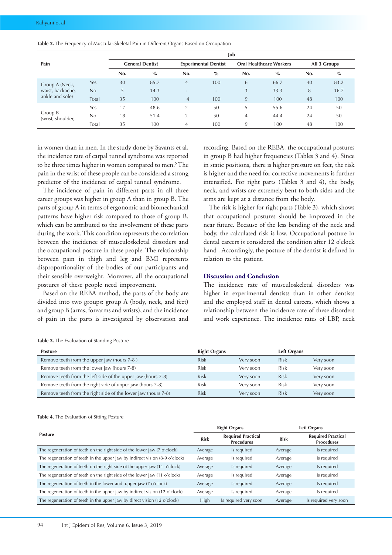|                              |       | Job |                        |                          |                             |                |                                |     |              |  |  |
|------------------------------|-------|-----|------------------------|--------------------------|-----------------------------|----------------|--------------------------------|-----|--------------|--|--|
| Pain                         |       |     | <b>General Dentist</b> |                          | <b>Experimental Dentist</b> |                | <b>Oral Healthcare Workers</b> |     | All 3 Groups |  |  |
|                              |       | No. | $\frac{6}{6}$          | No.                      | $\%$                        | No.            | $\%$                           | No. | $\%$         |  |  |
| Group A (Neck,               | Yes   | 30  | 85.7                   | $\overline{4}$           | 100                         | 6              | 66.7                           | 40  | 83.2         |  |  |
| waist, backache,             | No    | 5   | 14.3                   | $\overline{\phantom{0}}$ | $\overline{\phantom{a}}$    | 3              | 33.3                           | 8   | 16.7         |  |  |
| ankle and sole)              | Total | 35  | 100                    | $\overline{4}$           | 100                         | 9              | 100                            | 48  | 100          |  |  |
|                              | Yes   | 17  | 48.6                   | $\overline{2}$           | 50                          | 5              | 55.6                           | 24  | 50           |  |  |
| Group B<br>(wrist, shoulder, | No    | 18  | 51.4                   | $\overline{2}$           | 50                          | $\overline{4}$ | 44.4                           | 24  | 50           |  |  |
|                              | Total | 35  | 100                    | $\overline{4}$           | 100                         | 9              | 100                            | 48  | 100          |  |  |

**Table 2.** The Frequency of Muscular-Skeletal Pain in Different Organs Based on Occupation

in women than in men. In the study done by Savants et al, the incidence rate of carpal tunnel syndrome was reported to be three times higher in women compared to men.<sup>5</sup> The pain in the wrist of these people can be considered a strong predictor of the incidence of carpal tunnel syndrome.

The incidence of pain in different parts in all three career groups was higher in group A than in group B. The parts of group A in terms of ergonomic and biomechanical patterns have higher risk compared to those of group B, which can be attributed to the involvement of these parts during the work. This condition represents the correlation between the incidence of musculoskeletal disorders and the occupational posture in these people. The relationship between pain in thigh and leg and BMI represents disproportionality of the bodies of our participants and their sensible overweight. Moreover, all the occupational postures of these people need improvement.

Based on the REBA method, the parts of the body are divided into two groups: group A (body, neck, and feet) and group B (arms, forearms and wrists), and the incidence of pain in the parts is investigated by observation and

recording. Based on the REBA, the occupational postures in group B had higher frequencies (Tables 3 and 4). Since in static positions, there is higher pressure on feet, the risk is higher and the need for corrective movements is further intensified. For right parts (Tables 3 and 4), the body, neck, and wrists are extremely bent to both sides and the arms are kept at a distance from the body.

The risk is higher for right parts (Table 3), which shows that occupational postures should be improved in the near future. Because of the less bending of the neck and body, the calculated risk is low. Occupational posture in dental careers is considered the condition after 12 o'clock hand . Accordingly, the posture of the dentist is defined in relation to the patient.

#### **Discussion and Conclusion**

The incidence rate of musculoskeletal disorders was higher in experimental dentists than in other dentists and the employed staff in dental careers, which shows a relationship between the incidence rate of these disorders and work experience. The incidence rates of LBP, neck

|  |  |  |  |  |  | Table 3. The Evaluation of Standing Posture |  |
|--|--|--|--|--|--|---------------------------------------------|--|
|--|--|--|--|--|--|---------------------------------------------|--|

| <b>Posture</b>                                                | <b>Right Organs</b> |           | Left Organs |           |
|---------------------------------------------------------------|---------------------|-----------|-------------|-----------|
| Remove teeth from the upper jaw (hours 7-8)                   | <b>Risk</b>         | Very soon | <b>Risk</b> | Very soon |
| Remove teeth from the lower jaw (hours 7-8)                   | Risk                | Very soon | Risk        | Very soon |
| Remove teeth from the left side of the upper jaw (hours 7-8)  | <b>Risk</b>         | Very soon | <b>Risk</b> | Very soon |
| Remove teeth from the right side of upper jaw (hours 7-8)     | <b>Risk</b>         | Very soon | Risk        | Very soon |
| Remove teeth from the right side of the lower jaw (hours 7-8) | <b>Risk</b>         | Verv soon | <b>Risk</b> | Very soon |

#### **Table 4.** The Evaluation of Sitting Posture

|                                                                             |                                                               | <b>Right Organs</b>   | Left Organs |                                                |  |
|-----------------------------------------------------------------------------|---------------------------------------------------------------|-----------------------|-------------|------------------------------------------------|--|
| <b>Posture</b>                                                              | <b>Required Practical</b><br><b>Risk</b><br><b>Procedures</b> |                       | <b>Risk</b> | <b>Required Practical</b><br><b>Procedures</b> |  |
| The regeneration of teeth on the right side of the lower jaw (7 o'clock)    | Average                                                       | Is required           | Average     | Is required                                    |  |
| The regeneration of teeth in the upper jaw by indirect vision (8-9 o'clock) | Average                                                       | Is required           | Average     | Is required                                    |  |
| The regeneration of teeth on the right side of the upper jaw (11 o'clock)   | Average                                                       | Is required           | Average     | Is required                                    |  |
| The regeneration of teeth on the right side of the lower jaw (11 o'clock)   | Average                                                       | Is required           | Average     | Is required                                    |  |
| The regeneration of teeth in the lower and upper jaw (7 o'clock)            | Average                                                       | Is required           | Average     | Is required                                    |  |
| The regeneration of teeth in the upper jaw by indirect vision (12 o'clock)  | Average                                                       | Is required           | Average     | Is required                                    |  |
| The regeneration of teeth in the upper jaw by direct vision (12 o'clock)    | <b>High</b>                                                   | Is required very soon | Average     | Is required very soon                          |  |